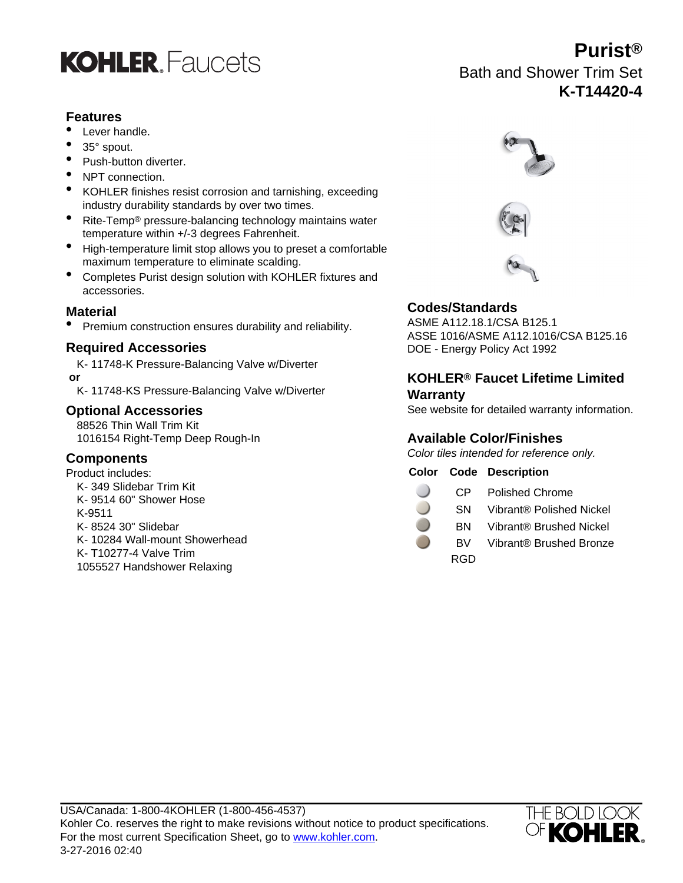

# **Features**

- Lever handle.
- 35° spout.
- Push-button diverter.
- NPT connection.
- KOHLER finishes resist corrosion and tarnishing, exceeding industry durability standards by over two times.
- Rite-Temp® pressure-balancing technology maintains water temperature within +/-3 degrees Fahrenheit.
- High-temperature limit stop allows you to preset a comfortable maximum temperature to eliminate scalding.
- Completes Purist design solution with KOHLER fixtures and accessories.

**Material Codes/Standards** • Premium construction ensures durability and reliability.

### **Required Accessories**

K- 11748-K Pressure-Balancing Valve w/Diverter  **or**

K- 11748-KS Pressure-Balancing Valve w/Diverter

# **Optional Accessories**

88526 Thin Wall Trim Kit 1016154 Right-Temp Deep Rough-In

# **Components**

Product includes: K- 349 Slidebar Trim Kit K- 9514 60" Shower Hose K-9511 K- 8524 30" Slidebar K- 10284 Wall-mount Showerhead K- T10277-4 Valve Trim 1055527 Handshower Relaxing



Bath and Shower Trim Set

**Purist®**

**K-T14420-4**





ASSE 1016/ASME A112.1016/CSA B125.16 DOE - Energy Policy Act 1992

# **KOHLER® Faucet Lifetime Limited Warranty**

See website for detailed warranty information.

# **Available Color/Finishes**

Color tiles intended for reference only.

# **Color Code Description**

| CP<br><b>Polished Chrome</b> |  |
|------------------------------|--|
|------------------------------|--|

- SN Vibrant® Polished Nickel
- BN Vibrant® Brushed Nickel
- BV Vibrant® Brushed Bronze
	- RGD